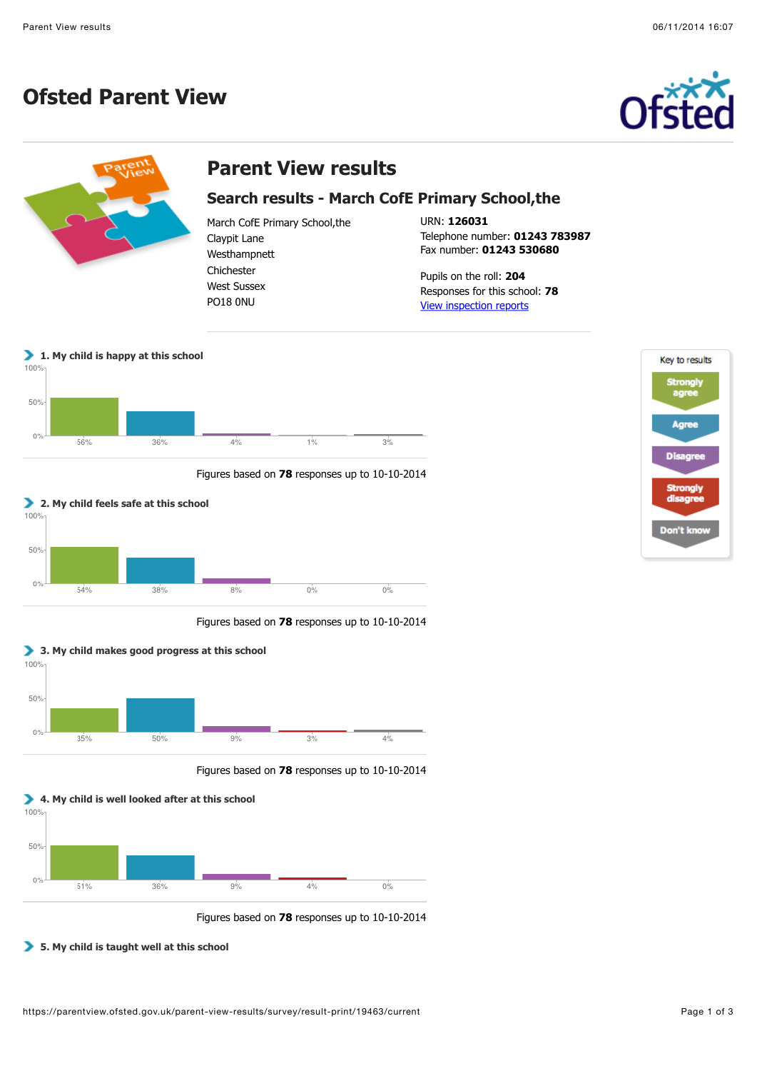## **Ofsted Parent View**





Figures based on **78** responses up to 10-10-2014



Figures based on **78** responses up to 10-10-2014



Figures based on **78** responses up to 10-10-2014

## **5. My child is taught well at this school**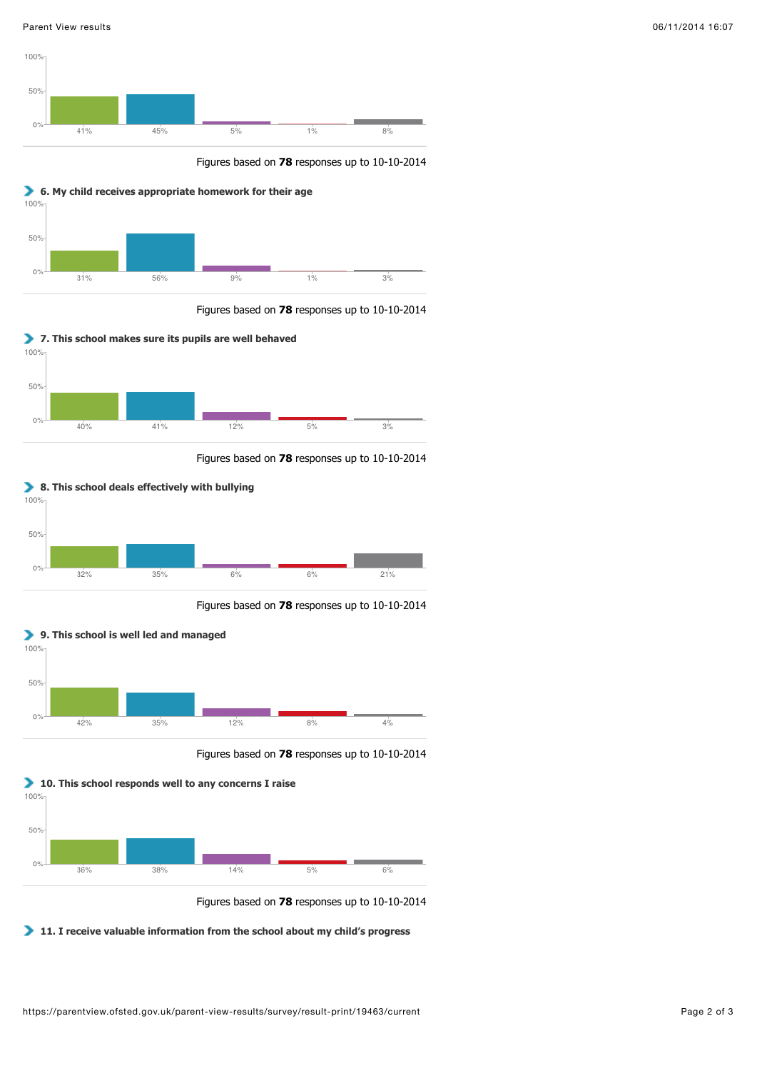

Figures based on **78** responses up to 10-10-2014



Figures based on **78** responses up to 10-10-2014



Figures based on **78** responses up to 10-10-2014



Figures based on **78** responses up to 10-10-2014



Figures based on **78** responses up to 10-10-2014



Figures based on **78** responses up to 10-10-2014

**11. I receive valuable information from the school about my child's progress**